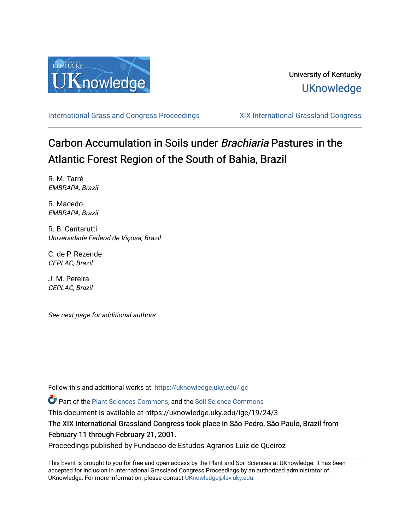

[International Grassland Congress Proceedings](https://uknowledge.uky.edu/igc) [XIX International Grassland Congress](https://uknowledge.uky.edu/igc/19) 

# Carbon Accumulation in Soils under Brachiaria Pastures in the Atlantic Forest Region of the South of Bahia, Brazil

R. M. Tarré EMBRAPA, Brazil

R. Macedo EMBRAPA, Brazil

R. B. Cantarutti Universidade Federal de Viçosa, Brazil

C. de P. Rezende CEPLAC, Brazil

J. M. Pereira CEPLAC, Brazil

See next page for additional authors

Follow this and additional works at: [https://uknowledge.uky.edu/igc](https://uknowledge.uky.edu/igc?utm_source=uknowledge.uky.edu%2Figc%2F19%2F24%2F3&utm_medium=PDF&utm_campaign=PDFCoverPages) 

Part of the [Plant Sciences Commons](http://network.bepress.com/hgg/discipline/102?utm_source=uknowledge.uky.edu%2Figc%2F19%2F24%2F3&utm_medium=PDF&utm_campaign=PDFCoverPages), and the [Soil Science Commons](http://network.bepress.com/hgg/discipline/163?utm_source=uknowledge.uky.edu%2Figc%2F19%2F24%2F3&utm_medium=PDF&utm_campaign=PDFCoverPages) 

This document is available at https://uknowledge.uky.edu/igc/19/24/3

The XIX International Grassland Congress took place in São Pedro, São Paulo, Brazil from February 11 through February 21, 2001.

Proceedings published by Fundacao de Estudos Agrarios Luiz de Queiroz

This Event is brought to you for free and open access by the Plant and Soil Sciences at UKnowledge. It has been accepted for inclusion in International Grassland Congress Proceedings by an authorized administrator of UKnowledge. For more information, please contact [UKnowledge@lsv.uky.edu](mailto:UKnowledge@lsv.uky.edu).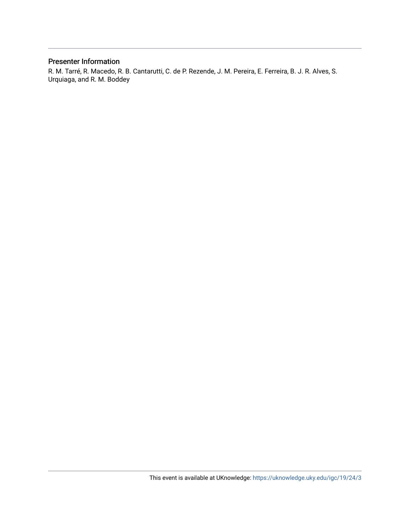## Presenter Information

R. M. Tarré, R. Macedo, R. B. Cantarutti, C. de P. Rezende, J. M. Pereira, E. Ferreira, B. J. R. Alves, S. Urquiaga, and R. M. Boddey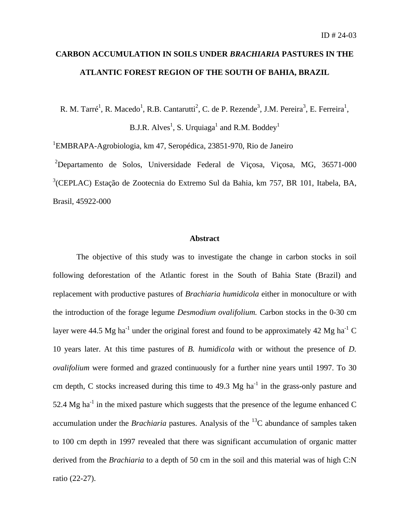# **CARBON ACCUMULATION IN SOILS UNDER** *BRACHIARIA* **PASTURES IN THE ATLANTIC FOREST REGION OF THE SOUTH OF BAHIA, BRAZIL**

R. M. Tarré<sup>1</sup>, R. Macedo<sup>1</sup>, R.B. Cantarutti<sup>2</sup>, C. de P. Rezende<sup>3</sup>, J.M. Pereira<sup>3</sup>, E. Ferreira<sup>1</sup>,

B.J.R. Alves<sup>1</sup>, S. Urquiaga<sup>1</sup> and R.M. Boddey<sup>1</sup>

<sup>1</sup>EMBRAPA-Agrobiologia, km 47, Seropédica, 23851-970, Rio de Janeiro

<sup>2</sup>Departamento de Solos, Universidade Federal de Viçosa, Viçosa, MG, 36571-000 3 (CEPLAC) Estação de Zootecnia do Extremo Sul da Bahia, km 757, BR 101, Itabela, BA, Brasil, 45922-000

#### **Abstract**

The objective of this study was to investigate the change in carbon stocks in soil following deforestation of the Atlantic forest in the South of Bahia State (Brazil) and replacement with productive pastures of *Brachiaria humidicola* either in monoculture or with the introduction of the forage legume *Desmodium ovalifolium.* Carbon stocks in the 0-30 cm layer were 44.5 Mg ha<sup>-1</sup> under the original forest and found to be approximately 42 Mg ha<sup>-1</sup> C 10 years later. At this time pastures of *B. humidicola* with or without the presence of *D. ovalifolium* were formed and grazed continuously for a further nine years until 1997. To 30 cm depth, C stocks increased during this time to  $49.3 \text{ Mg} \text{ ha}^{-1}$  in the grass-only pasture and 52.4 Mg ha<sup>-1</sup> in the mixed pasture which suggests that the presence of the legume enhanced C accumulation under the *Brachiaria* pastures. Analysis of the <sup>13</sup>C abundance of samples taken to 100 cm depth in 1997 revealed that there was significant accumulation of organic matter derived from the *Brachiaria* to a depth of 50 cm in the soil and this material was of high C:N ratio (22-27).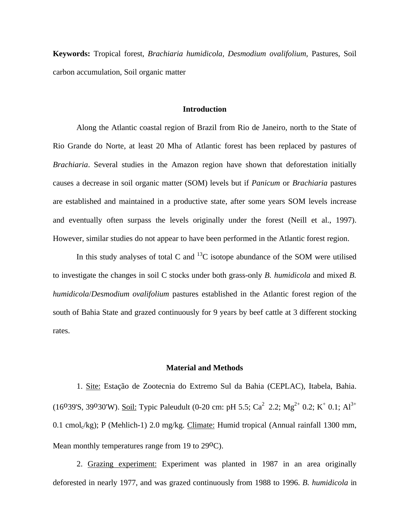**Keywords:** Tropical forest, *Brachiaria humidicola, Desmodium ovalifolium,* Pastures, Soil carbon accumulation, Soil organic matter

#### **Introduction**

Along the Atlantic coastal region of Brazil from Rio de Janeiro, north to the State of Rio Grande do Norte, at least 20 Mha of Atlantic forest has been replaced by pastures of *Brachiaria*. Several studies in the Amazon region have shown that deforestation initially causes a decrease in soil organic matter (SOM) levels but if *Panicum* or *Brachiaria* pastures are established and maintained in a productive state, after some years SOM levels increase and eventually often surpass the levels originally under the forest (Neill et al., 1997). However, similar studies do not appear to have been performed in the Atlantic forest region.

In this study analyses of total C and  $^{13}$ C isotope abundance of the SOM were utilised to investigate the changes in soil C stocks under both grass-only *B. humidicola* and mixed *B. humidicola*/*Desmodium ovalifolium* pastures established in the Atlantic forest region of the south of Bahia State and grazed continuously for 9 years by beef cattle at 3 different stocking rates.

#### **Material and Methods**

1. Site: Estação de Zootecnia do Extremo Sul da Bahia (CEPLAC), Itabela, Bahia. (16<sup>o</sup>39'S, 39<sup>o</sup>30'W). Soil: Typic Paleudult (0-20 cm: pH 5.5; Ca<sup>2</sup> 2.2; Mg<sup>2+</sup> 0.2; K<sup>+</sup> 0.1; Al<sup>3+</sup> 0.1 cmol<sub>c</sub>/kg); P (Mehlich-1) 2.0 mg/kg. Climate: Humid tropical (Annual rainfall 1300 mm, Mean monthly temperatures range from 19 to 29<sup>o</sup>C).

2. Grazing experiment: Experiment was planted in 1987 in an area originally deforested in nearly 1977, and was grazed continuously from 1988 to 1996. *B. humidicola* in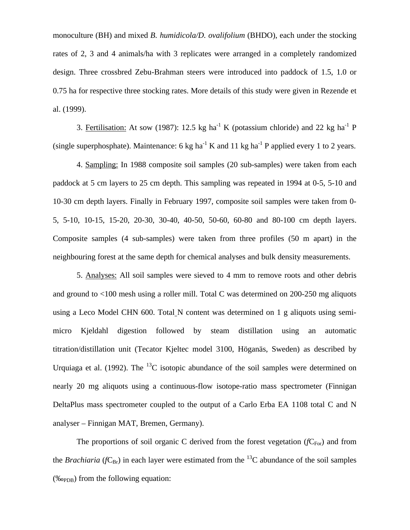monoculture (BH) and mixed *B. humidicola/D. ovalifolium* (BHDO), each under the stocking rates of 2, 3 and 4 animals/ha with 3 replicates were arranged in a completely randomized design. Three crossbred Zebu-Brahman steers were introduced into paddock of 1.5, 1.0 or 0.75 ha for respective three stocking rates. More details of this study were given in Rezende et al. (1999).

3. Fertilisation: At sow (1987): 12.5 kg ha<sup>-1</sup> K (potassium chloride) and 22 kg ha<sup>-1</sup> P (single superphosphate). Maintenance: 6 kg ha<sup>-1</sup> K and 11 kg ha<sup>-1</sup> P applied every 1 to 2 years.

4. Sampling: In 1988 composite soil samples (20 sub-samples) were taken from each paddock at 5 cm layers to 25 cm depth. This sampling was repeated in 1994 at 0-5, 5-10 and 10-30 cm depth layers. Finally in February 1997, composite soil samples were taken from 0- 5, 5-10, 10-15, 15-20, 20-30, 30-40, 40-50, 50-60, 60-80 and 80-100 cm depth layers. Composite samples (4 sub-samples) were taken from three profiles (50 m apart) in the neighbouring forest at the same depth for chemical analyses and bulk density measurements.

5. Analyses: All soil samples were sieved to 4 mm to remove roots and other debris and ground to <100 mesh using a roller mill. Total C was determined on 200-250 mg aliquots using a Leco Model CHN 600. Total N content was determined on 1 g aliquots using semimicro Kjeldahl digestion followed by steam distillation using an automatic titration/distillation unit (Tecator Kjeltec model 3100, Höganäs, Sweden) as described by Urquiaga et al. (1992). The  $^{13}$ C isotopic abundance of the soil samples were determined on nearly 20 mg aliquots using a continuous-flow isotope-ratio mass spectrometer (Finnigan DeltaPlus mass spectrometer coupled to the output of a Carlo Erba EA 1108 total C and N analyser – Finnigan MAT, Bremen, Germany).

The proportions of soil organic C derived from the forest vegetation  $(fC_{\text{For}})$  and from the *Brachiaria* ( $fC_{\text{Br}}$ ) in each layer were estimated from the <sup>13</sup>C abundance of the soil samples  $(\%^{\circ}_{\text{opp}})$  from the following equation: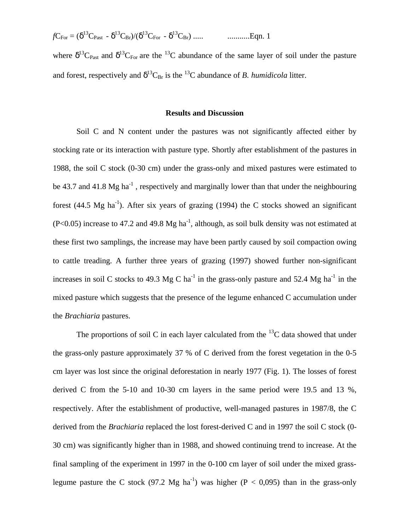*f*CFor = (δ <sup>13</sup>CPast - δ <sup>13</sup>CBr)/(δ <sup>13</sup>CFor - δ <sup>13</sup>CBr) ..... ...........Eqn. 1

where  $\delta^{13}C_{\text{Fast}}$  and  $\delta^{13}C_{\text{For}}$  are the  $^{13}C$  abundance of the same layer of soil under the pasture and forest, respectively and  $\delta^{13}C_{\text{Br}}$  is the <sup>13</sup>C abundance of *B. humidicola* litter.

### **Results and Discussion**

Soil C and N content under the pastures was not significantly affected either by stocking rate or its interaction with pasture type. Shortly after establishment of the pastures in 1988, the soil C stock (0-30 cm) under the grass-only and mixed pastures were estimated to be 43.7 and 41.8 Mg ha<sup>-1</sup>, respectively and marginally lower than that under the neighbouring forest (44.5 Mg ha<sup>-1</sup>). After six years of grazing (1994) the C stocks showed an significant  $(P<0.05)$  increase to 47.2 and 49.8 Mg ha<sup>-1</sup>, although, as soil bulk density was not estimated at these first two samplings, the increase may have been partly caused by soil compaction owing to cattle treading. A further three years of grazing (1997) showed further non-significant increases in soil C stocks to 49.3 Mg C ha<sup>-1</sup> in the grass-only pasture and 52.4 Mg ha<sup>-1</sup> in the mixed pasture which suggests that the presence of the legume enhanced C accumulation under the *Brachiaria* pastures.

The proportions of soil C in each layer calculated from the  $^{13}$ C data showed that under the grass-only pasture approximately 37 % of C derived from the forest vegetation in the 0-5 cm layer was lost since the original deforestation in nearly 1977 (Fig. 1). The losses of forest derived C from the 5-10 and 10-30 cm layers in the same period were 19.5 and 13 %, respectively. After the establishment of productive, well-managed pastures in 1987/8, the C derived from the *Brachiaria* replaced the lost forest-derived C and in 1997 the soil C stock (0- 30 cm) was significantly higher than in 1988, and showed continuing trend to increase. At the final sampling of the experiment in 1997 in the 0-100 cm layer of soil under the mixed grasslegume pasture the C stock (97.2 Mg ha<sup>-1</sup>) was higher (P < 0,095) than in the grass-only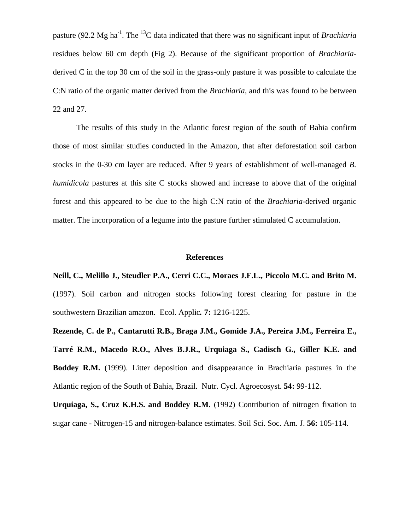pasture (92.2 Mg ha-1. The <sup>13</sup>C data indicated that there was no significant input of *Brachiaria* residues below 60 cm depth (Fig 2). Because of the significant proportion of *Brachiaria*derived C in the top 30 cm of the soil in the grass-only pasture it was possible to calculate the C:N ratio of the organic matter derived from the *Brachiaria*, and this was found to be between 22 and 27.

The results of this study in the Atlantic forest region of the south of Bahia confirm those of most similar studies conducted in the Amazon, that after deforestation soil carbon stocks in the 0-30 cm layer are reduced. After 9 years of establishment of well-managed *B. humidicola* pastures at this site C stocks showed and increase to above that of the original forest and this appeared to be due to the high C:N ratio of the *Brachiaria*-derived organic matter. The incorporation of a legume into the pasture further stimulated C accumulation.

#### **References**

**Neill, C., Melillo J., Steudler P.A., Cerri C.C., Moraes J.F.L., Piccolo M.C. and Brito M.** (1997). Soil carbon and nitrogen stocks following forest clearing for pasture in the southwestern Brazilian amazon. Ecol. Applic*.* **7:** 1216-1225.

**Rezende, C. de P., Cantarutti R.B., Braga J.M., Gomide J.A., Pereira J.M., Ferreira E., Tarré R.M., Macedo R.O., Alves B.J.R., Urquiaga S., Cadisch G., Giller K.E. and Boddey R.M.** (1999). Litter deposition and disappearance in Brachiaria pastures in the Atlantic region of the South of Bahia, Brazil. Nutr. Cycl. Agroecosyst. **54:** 99-112.

**Urquiaga, S., Cruz K.H.S. and Boddey R.M.** (1992) Contribution of nitrogen fixation to sugar cane - Nitrogen-15 and nitrogen-balance estimates. Soil Sci. Soc. Am. J. **56:** 105-114.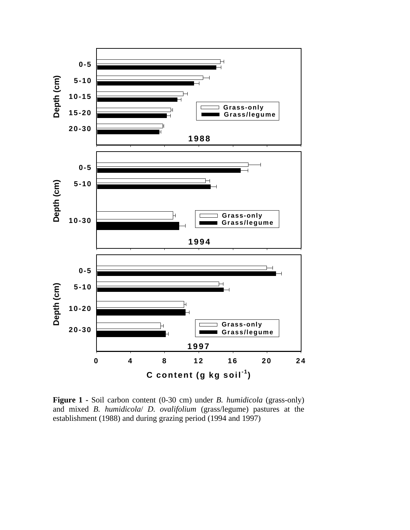

**Figure 1 -** Soil carbon content (0-30 cm) under *B. humidicola* (grass-only) and mixed *B. humidicola*/ *D. ovalifolium* (grass/legume) pastures at the establishment (1988) and during grazing period (1994 and 1997)